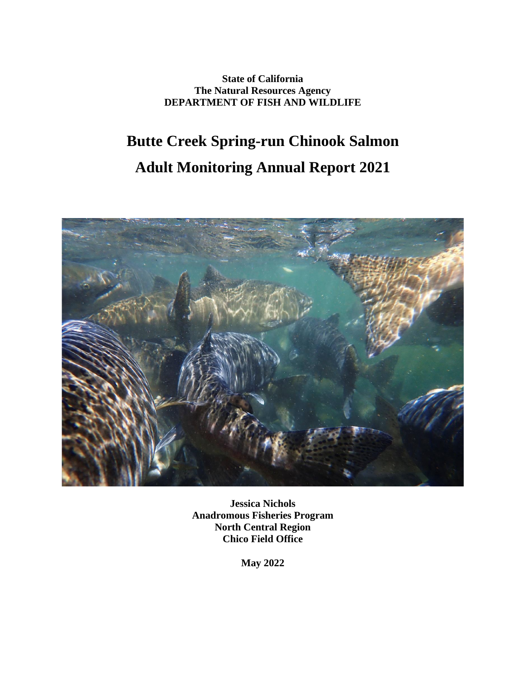**State of California The Natural Resources Agency DEPARTMENT OF FISH AND WILDLIFE**

# **Butte Creek Spring-run Chinook Salmon Adult Monitoring Annual Report 2021**



**Jessica Nichols Anadromous Fisheries Program North Central Region Chico Field Office**

**May 2022**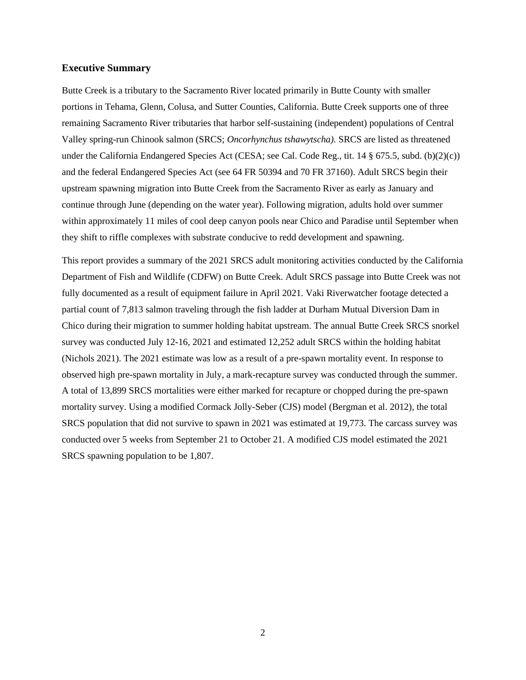#### **Executive Summary**

Butte Creek is a tributary to the Sacramento River located primarily in Butte County with smaller portions in Tehama, Glenn, Colusa, and Sutter Counties, California. Butte Creek supports one of three remaining Sacramento River tributaries that harbor self-sustaining (independent) populations of Central Valley spring-run Chinook salmon (SRCS; *Oncorhynchus tshawytscha).* SRCS are listed as threatened under the California Endangered Species Act (CESA; see Cal. Code Reg., tit. 14 § 675.5, subd. (b)(2)(c)) and the federal Endangered Species Act (see 64 FR 50394 and 70 FR 37160). Adult SRCS begin their upstream spawning migration into Butte Creek from the Sacramento River as early as January and continue through June (depending on the water year). Following migration, adults hold over summer within approximately 11 miles of cool deep canyon pools near Chico and Paradise until September when they shift to riffle complexes with substrate conducive to redd development and spawning.

This report provides a summary of the 2021 SRCS adult monitoring activities conducted by the California Department of Fish and Wildlife (CDFW) on Butte Creek. Adult SRCS passage into Butte Creek was not fully documented as a result of equipment failure in April 2021. Vaki Riverwatcher footage detected a partial count of 7,813 salmon traveling through the fish ladder at Durham Mutual Diversion Dam in Chico during their migration to summer holding habitat upstream. The annual Butte Creek SRCS snorkel survey was conducted July 12-16, 2021 and estimated 12,252 adult SRCS within the holding habitat (Nichols 2021). The 2021 estimate was low as a result of a pre-spawn mortality event. In response to observed high pre-spawn mortality in July, a mark-recapture survey was conducted through the summer. A total of 13,899 SRCS mortalities were either marked for recapture or chopped during the pre-spawn mortality survey. Using a modified Cormack Jolly-Seber (CJS) model (Bergman et al. 2012), the total SRCS population that did not survive to spawn in 2021 was estimated at 19,773. The carcass survey was conducted over 5 weeks from September 21 to October 21. A modified CJS model estimated the 2021 SRCS spawning population to be 1,807.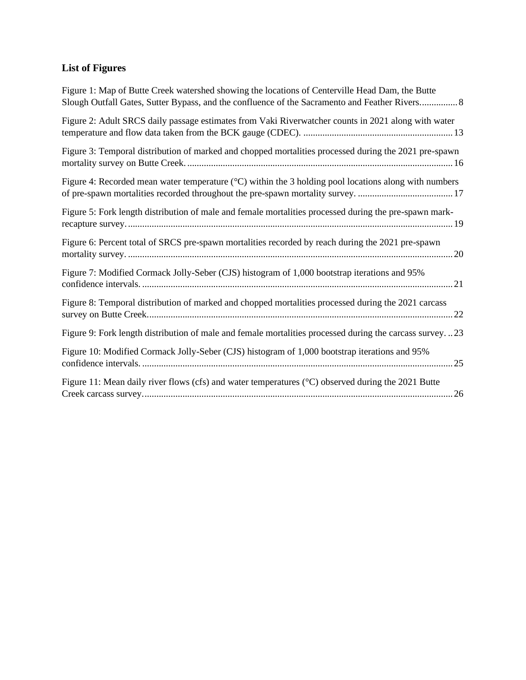# **List of Figures**

| Figure 1: Map of Butte Creek watershed showing the locations of Centerville Head Dam, the Butte              |
|--------------------------------------------------------------------------------------------------------------|
| Figure 2: Adult SRCS daily passage estimates from Vaki Riverwatcher counts in 2021 along with water          |
| Figure 3: Temporal distribution of marked and chopped mortalities processed during the 2021 pre-spawn        |
| Figure 4: Recorded mean water temperature (°C) within the 3 holding pool locations along with numbers        |
| Figure 5: Fork length distribution of male and female mortalities processed during the pre-spawn mark-       |
| Figure 6: Percent total of SRCS pre-spawn mortalities recorded by reach during the 2021 pre-spawn            |
| Figure 7: Modified Cormack Jolly-Seber (CJS) histogram of 1,000 bootstrap iterations and 95%                 |
| Figure 8: Temporal distribution of marked and chopped mortalities processed during the 2021 carcass          |
| Figure 9: Fork length distribution of male and female mortalities processed during the carcass survey23      |
| Figure 10: Modified Cormack Jolly-Seber (CJS) histogram of 1,000 bootstrap iterations and 95%                |
| Figure 11: Mean daily river flows (cfs) and water temperatures ( $\degree$ C) observed during the 2021 Butte |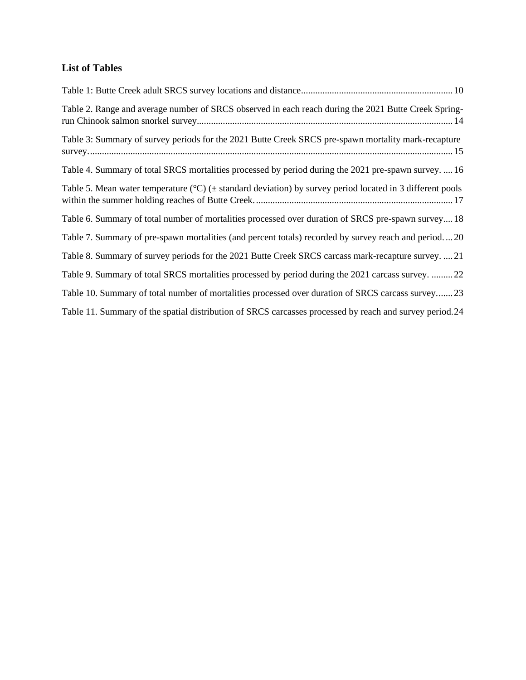### **List of Tables**

| Table 2. Range and average number of SRCS observed in each reach during the 2021 Butte Creek Spring-                      |
|---------------------------------------------------------------------------------------------------------------------------|
| Table 3: Summary of survey periods for the 2021 Butte Creek SRCS pre-spawn mortality mark-recapture                       |
| Table 4. Summary of total SRCS mortalities processed by period during the 2021 pre-spawn survey.  16                      |
| Table 5. Mean water temperature ( $^{\circ}$ C) ( $\pm$ standard deviation) by survey period located in 3 different pools |
| Table 6. Summary of total number of mortalities processed over duration of SRCS pre-spawn survey 18                       |
| Table 7. Summary of pre-spawn mortalities (and percent totals) recorded by survey reach and period20                      |
| Table 8. Summary of survey periods for the 2021 Butte Creek SRCS carcass mark-recapture survey.  21                       |
| Table 9. Summary of total SRCS mortalities processed by period during the 2021 carcass survey. 22                         |
| Table 10. Summary of total number of mortalities processed over duration of SRCS carcass survey23                         |
| Table 11. Summary of the spatial distribution of SRCS carcasses processed by reach and survey period.24                   |
|                                                                                                                           |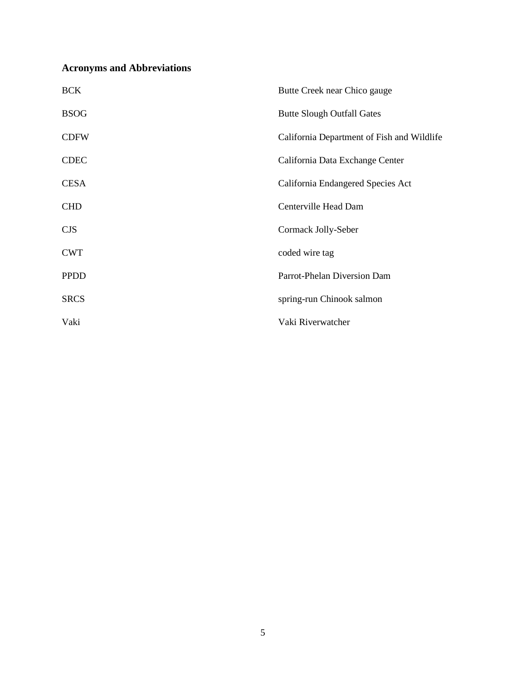## **Acronyms and Abbreviations**

| <b>BCK</b>  | Butte Creek near Chico gauge               |
|-------------|--------------------------------------------|
| <b>BSOG</b> | <b>Butte Slough Outfall Gates</b>          |
| <b>CDFW</b> | California Department of Fish and Wildlife |
| <b>CDEC</b> | California Data Exchange Center            |
| <b>CESA</b> | California Endangered Species Act          |
| <b>CHD</b>  | Centerville Head Dam                       |
| <b>CJS</b>  | Cormack Jolly-Seber                        |
| <b>CWT</b>  | coded wire tag                             |
| <b>PPDD</b> | Parrot-Phelan Diversion Dam                |
| <b>SRCS</b> | spring-run Chinook salmon                  |
| Vaki        | Vaki Riverwatcher                          |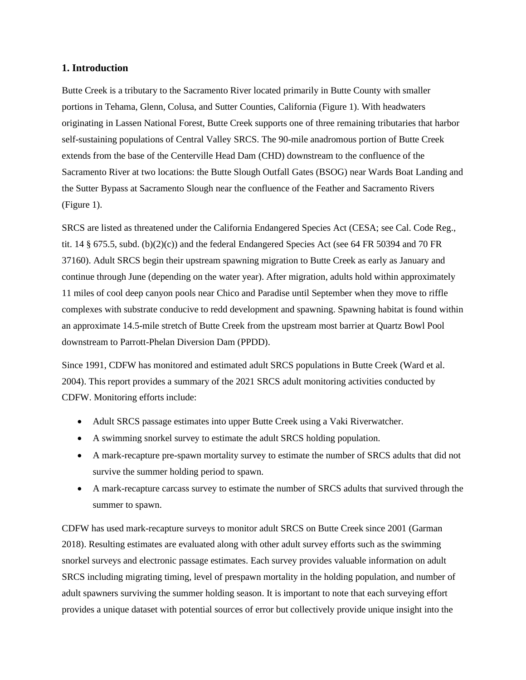#### **1. Introduction**

Butte Creek is a tributary to the Sacramento River located primarily in Butte County with smaller portions in Tehama, Glenn, Colusa, and Sutter Counties, California (Figure 1). With headwaters originating in Lassen National Forest, Butte Creek supports one of three remaining tributaries that harbor self-sustaining populations of Central Valley SRCS. The 90-mile anadromous portion of Butte Creek extends from the base of the Centerville Head Dam (CHD) downstream to the confluence of the Sacramento River at two locations: the Butte Slough Outfall Gates (BSOG) near Wards Boat Landing and the Sutter Bypass at Sacramento Slough near the confluence of the Feather and Sacramento Rivers (Figure 1).

SRCS are listed as threatened under the California Endangered Species Act (CESA; see Cal. Code Reg., tit. 14  $\S$  675.5, subd. (b)(2)(c)) and the federal Endangered Species Act (see 64 FR 50394 and 70 FR 37160). Adult SRCS begin their upstream spawning migration to Butte Creek as early as January and continue through June (depending on the water year). After migration, adults hold within approximately 11 miles of cool deep canyon pools near Chico and Paradise until September when they move to riffle complexes with substrate conducive to redd development and spawning. Spawning habitat is found within an approximate 14.5-mile stretch of Butte Creek from the upstream most barrier at Quartz Bowl Pool downstream to Parrott-Phelan Diversion Dam (PPDD).

Since 1991, CDFW has monitored and estimated adult SRCS populations in Butte Creek (Ward et al. 2004). This report provides a summary of the 2021 SRCS adult monitoring activities conducted by CDFW. Monitoring efforts include:

- Adult SRCS passage estimates into upper Butte Creek using a Vaki Riverwatcher.
- A swimming snorkel survey to estimate the adult SRCS holding population.
- A mark-recapture pre-spawn mortality survey to estimate the number of SRCS adults that did not survive the summer holding period to spawn.
- A mark-recapture carcass survey to estimate the number of SRCS adults that survived through the summer to spawn.

CDFW has used mark-recapture surveys to monitor adult SRCS on Butte Creek since 2001 (Garman 2018). Resulting estimates are evaluated along with other adult survey efforts such as the swimming snorkel surveys and electronic passage estimates. Each survey provides valuable information on adult SRCS including migrating timing, level of prespawn mortality in the holding population, and number of adult spawners surviving the summer holding season. It is important to note that each surveying effort provides a unique dataset with potential sources of error but collectively provide unique insight into the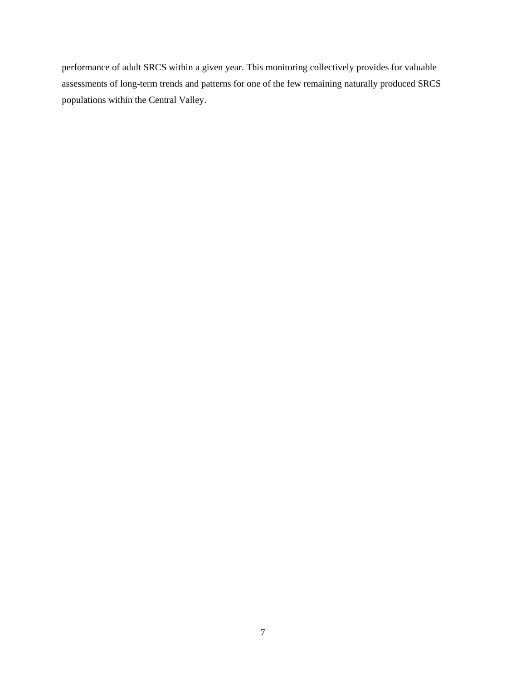performance of adult SRCS within a given year. This monitoring collectively provides for valuable assessments of long-term trends and patterns for one of the few remaining naturally produced SRCS populations within the Central Valley.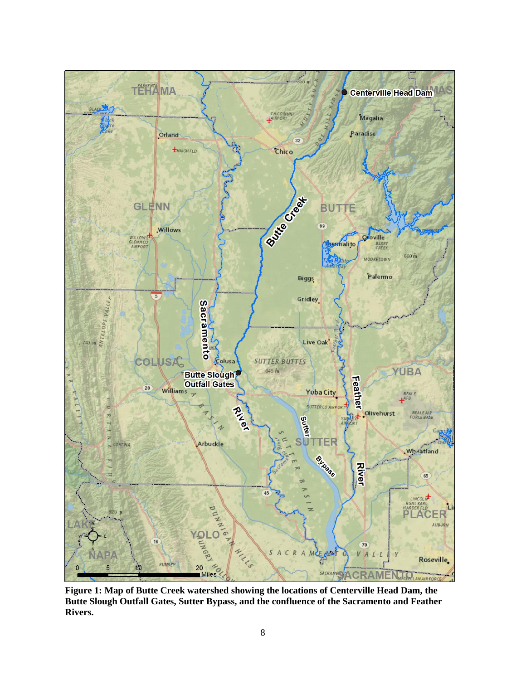

**Figure 1: Map of Butte Creek watershed showing the locations of Centerville Head Dam, the Butte Slough Outfall Gates, Sutter Bypass, and the confluence of the Sacramento and Feather Rivers.**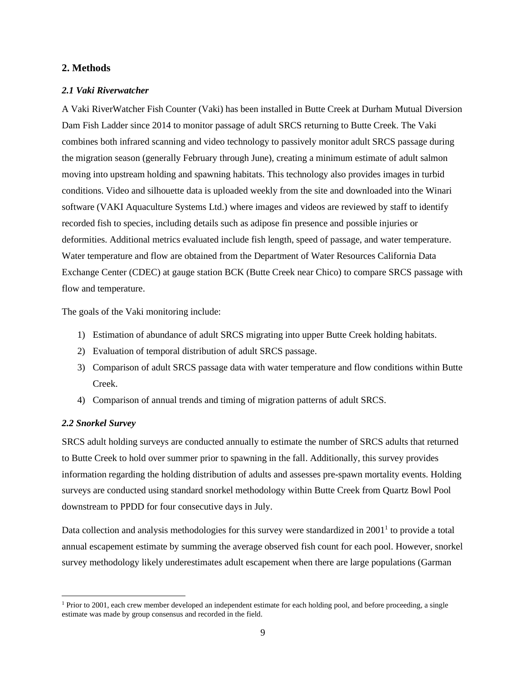#### **2. Methods**

#### *2.1 Vaki Riverwatcher*

A Vaki RiverWatcher Fish Counter (Vaki) has been installed in Butte Creek at Durham Mutual Diversion Dam Fish Ladder since 2014 to monitor passage of adult SRCS returning to Butte Creek. The Vaki combines both infrared scanning and video technology to passively monitor adult SRCS passage during the migration season (generally February through June), creating a minimum estimate of adult salmon moving into upstream holding and spawning habitats. This technology also provides images in turbid conditions. Video and silhouette data is uploaded weekly from the site and downloaded into the Winari software (VAKI Aquaculture Systems Ltd.) where images and videos are reviewed by staff to identify recorded fish to species, including details such as adipose fin presence and possible injuries or deformities. Additional metrics evaluated include fish length, speed of passage, and water temperature. Water temperature and flow are obtained from the Department of Water Resources California Data Exchange Center (CDEC) at gauge station BCK (Butte Creek near Chico) to compare SRCS passage with flow and temperature.

The goals of the Vaki monitoring include:

- 1) Estimation of abundance of adult SRCS migrating into upper Butte Creek holding habitats.
- 2) Evaluation of temporal distribution of adult SRCS passage.
- 3) Comparison of adult SRCS passage data with water temperature and flow conditions within Butte Creek.
- 4) Comparison of annual trends and timing of migration patterns of adult SRCS.

#### *2.2 Snorkel Survey*

SRCS adult holding surveys are conducted annually to estimate the number of SRCS adults that returned to Butte Creek to hold over summer prior to spawning in the fall. Additionally, this survey provides information regarding the holding distribution of adults and assesses pre-spawn mortality events. Holding surveys are conducted using standard snorkel methodology within Butte Creek from Quartz Bowl Pool downstream to PPDD for four consecutive days in July.

Data collection and analysis methodologies for this survey were standardized in  $2001<sup>1</sup>$  to provide a total annual escapement estimate by summing the average observed fish count for each pool. However, snorkel survey methodology likely underestimates adult escapement when there are large populations (Garman

<sup>&</sup>lt;sup>1</sup> Prior to 2001, each crew member developed an independent estimate for each holding pool, and before proceeding, a single estimate was made by group consensus and recorded in the field.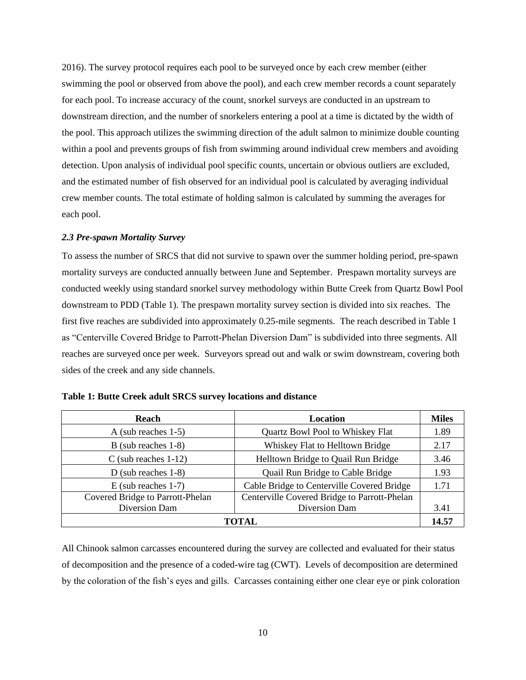2016). The survey protocol requires each pool to be surveyed once by each crew member (either swimming the pool or observed from above the pool), and each crew member records a count separately for each pool. To increase accuracy of the count, snorkel surveys are conducted in an upstream to downstream direction, and the number of snorkelers entering a pool at a time is dictated by the width of the pool. This approach utilizes the swimming direction of the adult salmon to minimize double counting within a pool and prevents groups of fish from swimming around individual crew members and avoiding detection. Upon analysis of individual pool specific counts, uncertain or obvious outliers are excluded, and the estimated number of fish observed for an individual pool is calculated by averaging individual crew member counts. The total estimate of holding salmon is calculated by summing the averages for each pool.

#### *2.3 Pre-spawn Mortality Survey*

To assess the number of SRCS that did not survive to spawn over the summer holding period, pre-spawn mortality surveys are conducted annually between June and September. Prespawn mortality surveys are conducted weekly using standard snorkel survey methodology within Butte Creek from Quartz Bowl Pool downstream to PDD (Table 1). The prespawn mortality survey section is divided into six reaches. The first five reaches are subdivided into approximately 0.25-mile segments. The reach described in Table 1 as "Centerville Covered Bridge to Parrott-Phelan Diversion Dam" is subdivided into three segments. All reaches are surveyed once per week. Surveyors spread out and walk or swim downstream, covering both sides of the creek and any side channels.

| Reach                            | <b>Location</b>                              |      |
|----------------------------------|----------------------------------------------|------|
| A (sub reaches $1-5$ )           | <b>Quartz Bowl Pool to Whiskey Flat</b>      | 1.89 |
| $B$ (sub reaches 1-8)            | Whiskey Flat to Helltown Bridge              | 2.17 |
| $C$ (sub reaches 1-12)           | Helltown Bridge to Quail Run Bridge          | 3.46 |
| D (sub reaches $1-8$ )           | Quail Run Bridge to Cable Bridge             | 1.93 |
| $E$ (sub reaches 1-7)            | Cable Bridge to Centerville Covered Bridge   |      |
| Covered Bridge to Parrott-Phelan | Centerville Covered Bridge to Parrott-Phelan |      |
| Diversion Dam<br>Diversion Dam   |                                              | 3.41 |
| <b>TOTAL</b>                     |                                              |      |

<span id="page-9-0"></span>

| Table 1: Butte Creek adult SRCS survey locations and distance |  |  |  |  |  |  |
|---------------------------------------------------------------|--|--|--|--|--|--|
|---------------------------------------------------------------|--|--|--|--|--|--|

All Chinook salmon carcasses encountered during the survey are collected and evaluated for their status of decomposition and the presence of a coded-wire tag (CWT). Levels of decomposition are determined by the coloration of the fish's eyes and gills. Carcasses containing either one clear eye or pink coloration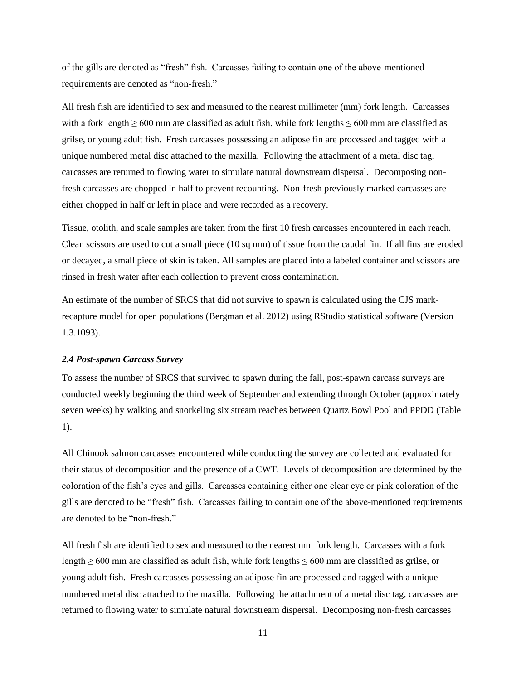of the gills are denoted as "fresh" fish. Carcasses failing to contain one of the above-mentioned requirements are denoted as "non-fresh."

All fresh fish are identified to sex and measured to the nearest millimeter (mm) fork length. Carcasses with a fork length  $\geq 600$  mm are classified as adult fish, while fork lengths  $\leq 600$  mm are classified as grilse, or young adult fish. Fresh carcasses possessing an adipose fin are processed and tagged with a unique numbered metal disc attached to the maxilla. Following the attachment of a metal disc tag, carcasses are returned to flowing water to simulate natural downstream dispersal. Decomposing nonfresh carcasses are chopped in half to prevent recounting. Non-fresh previously marked carcasses are either chopped in half or left in place and were recorded as a recovery.

Tissue, otolith, and scale samples are taken from the first 10 fresh carcasses encountered in each reach. Clean scissors are used to cut a small piece (10 sq mm) of tissue from the caudal fin. If all fins are eroded or decayed, a small piece of skin is taken. All samples are placed into a labeled container and scissors are rinsed in fresh water after each collection to prevent cross contamination.

An estimate of the number of SRCS that did not survive to spawn is calculated using the CJS markrecapture model for open populations (Bergman et al. 2012) using RStudio statistical software (Version 1.3.1093).

#### *2.4 Post-spawn Carcass Survey*

To assess the number of SRCS that survived to spawn during the fall, post-spawn carcass surveys are conducted weekly beginning the third week of September and extending through October (approximately seven weeks) by walking and snorkeling six stream reaches between Quartz Bowl Pool and PPDD (Table 1).

All Chinook salmon carcasses encountered while conducting the survey are collected and evaluated for their status of decomposition and the presence of a CWT. Levels of decomposition are determined by the coloration of the fish's eyes and gills. Carcasses containing either one clear eye or pink coloration of the gills are denoted to be "fresh" fish. Carcasses failing to contain one of the above-mentioned requirements are denoted to be "non-fresh."

All fresh fish are identified to sex and measured to the nearest mm fork length. Carcasses with a fork length  $\geq 600$  mm are classified as adult fish, while fork lengths  $\leq 600$  mm are classified as grilse, or young adult fish. Fresh carcasses possessing an adipose fin are processed and tagged with a unique numbered metal disc attached to the maxilla. Following the attachment of a metal disc tag, carcasses are returned to flowing water to simulate natural downstream dispersal. Decomposing non-fresh carcasses

11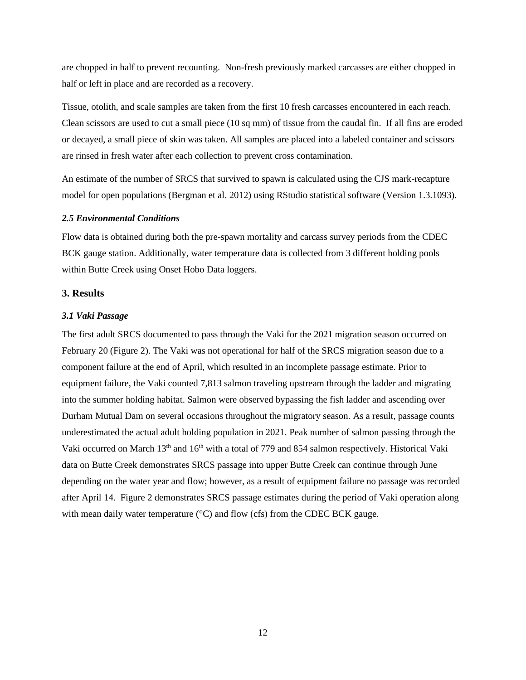are chopped in half to prevent recounting. Non-fresh previously marked carcasses are either chopped in half or left in place and are recorded as a recovery.

Tissue, otolith, and scale samples are taken from the first 10 fresh carcasses encountered in each reach. Clean scissors are used to cut a small piece (10 sq mm) of tissue from the caudal fin. If all fins are eroded or decayed, a small piece of skin was taken. All samples are placed into a labeled container and scissors are rinsed in fresh water after each collection to prevent cross contamination.

An estimate of the number of SRCS that survived to spawn is calculated using the CJS mark-recapture model for open populations (Bergman et al. 2012) using RStudio statistical software (Version 1.3.1093).

#### *2.5 Environmental Conditions*

Flow data is obtained during both the pre-spawn mortality and carcass survey periods from the CDEC BCK gauge station. Additionally, water temperature data is collected from 3 different holding pools within Butte Creek using Onset Hobo Data loggers.

#### **3. Results**

#### *3.1 Vaki Passage*

The first adult SRCS documented to pass through the Vaki for the 2021 migration season occurred on February 20 (Figure 2). The Vaki was not operational for half of the SRCS migration season due to a component failure at the end of April, which resulted in an incomplete passage estimate. Prior to equipment failure, the Vaki counted 7,813 salmon traveling upstream through the ladder and migrating into the summer holding habitat. Salmon were observed bypassing the fish ladder and ascending over Durham Mutual Dam on several occasions throughout the migratory season. As a result, passage counts underestimated the actual adult holding population in 2021. Peak number of salmon passing through the Vaki occurred on March 13<sup>th</sup> and 16<sup>th</sup> with a total of 779 and 854 salmon respectively. Historical Vaki data on Butte Creek demonstrates SRCS passage into upper Butte Creek can continue through June depending on the water year and flow; however, as a result of equipment failure no passage was recorded after April 14. Figure 2 demonstrates SRCS passage estimates during the period of Vaki operation along with mean daily water temperature  $({}^{\circ}C)$  and flow (cfs) from the CDEC BCK gauge.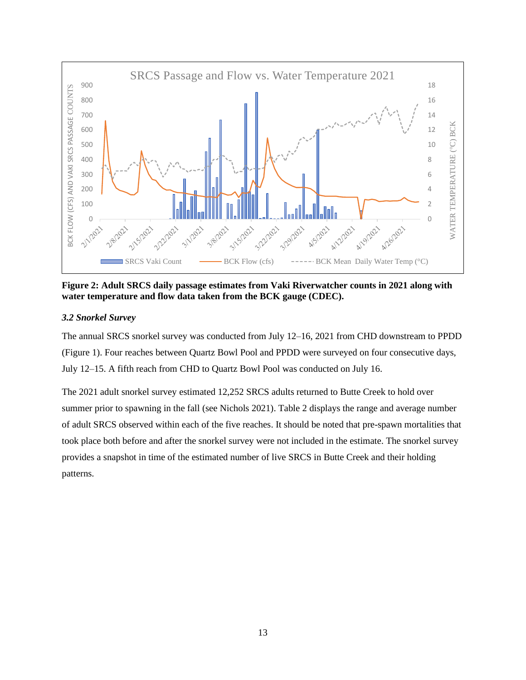

<span id="page-12-0"></span>**Figure 2: Adult SRCS daily passage estimates from Vaki Riverwatcher counts in 2021 along with water temperature and flow data taken from the BCK gauge (CDEC).**

#### *3.2 Snorkel Survey*

The annual SRCS snorkel survey was conducted from July 12–16, 2021 from CHD downstream to PPDD (Figure 1). Four reaches between Quartz Bowl Pool and PPDD were surveyed on four consecutive days, July 12–15. A fifth reach from CHD to Quartz Bowl Pool was conducted on July 16.

The 2021 adult snorkel survey estimated 12,252 SRCS adults returned to Butte Creek to hold over summer prior to spawning in the fall (see Nichols 2021). Table 2 displays the range and average number of adult SRCS observed within each of the five reaches. It should be noted that pre-spawn mortalities that took place both before and after the snorkel survey were not included in the estimate. The snorkel survey provides a snapshot in time of the estimated number of live SRCS in Butte Creek and their holding patterns.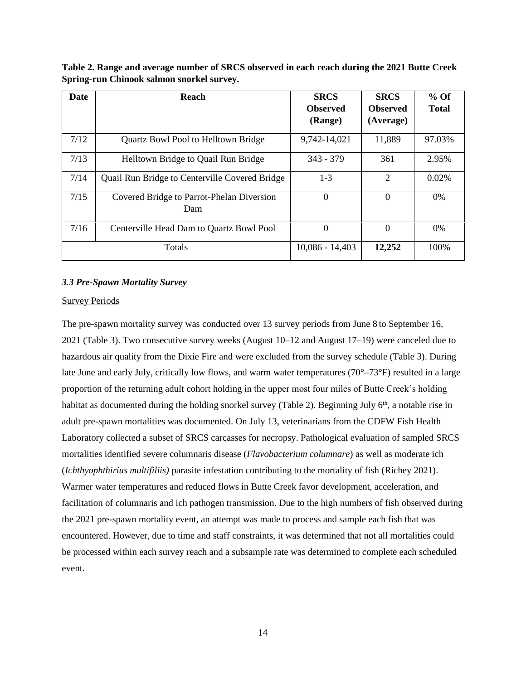| <b>Date</b> | Reach                                                 | <b>SRCS</b><br><b>Observed</b><br>(Range) | <b>SRCS</b><br><b>Observed</b><br>(Average) | $%$ Of<br><b>Total</b> |
|-------------|-------------------------------------------------------|-------------------------------------------|---------------------------------------------|------------------------|
| 7/12        | <b>Quartz Bowl Pool to Helltown Bridge</b>            | 9,742-14,021                              | 11,889                                      | 97.03%                 |
| 7/13        | Helltown Bridge to Quail Run Bridge                   | $343 - 379$                               | 361                                         | 2.95%                  |
| 7/14        | <b>Quail Run Bridge to Centerville Covered Bridge</b> | $1-3$                                     | 2                                           | 0.02%                  |
| 7/15        | Covered Bridge to Parrot-Phelan Diversion<br>Dam      | $\Omega$                                  | $\Omega$                                    | 0%                     |
| 7/16        | Centerville Head Dam to Quartz Bowl Pool              | 0                                         | $\theta$                                    | 0%                     |
|             | <b>Totals</b>                                         | $10,086 - 14,403$                         | 12,252                                      | 100%                   |

<span id="page-13-0"></span>**Table 2. Range and average number of SRCS observed in each reach during the 2021 Butte Creek Spring-run Chinook salmon snorkel survey.**

#### *3.3 Pre-Spawn Mortality Survey*

#### Survey Periods

The pre-spawn mortality survey was conducted over 13 survey periods from June 8 to September 16, 2021 (Table 3). Two consecutive survey weeks (August 10–12 and August 17–19) were canceled due to hazardous air quality from the Dixie Fire and were excluded from the survey schedule (Table 3). During late June and early July, critically low flows, and warm water temperatures (70°–73°F) resulted in a large proportion of the returning adult cohort holding in the upper most four miles of Butte Creek's holding habitat as documented during the holding snorkel survey (Table 2). Beginning July 6<sup>th</sup>, a notable rise in adult pre-spawn mortalities was documented. On July 13, veterinarians from the CDFW Fish Health Laboratory collected a subset of SRCS carcasses for necropsy. Pathological evaluation of sampled SRCS mortalities identified severe columnaris disease (*Flavobacterium columnare*) as well as moderate ich (*Ichthyophthirius multifiliis)* parasite infestation contributing to the mortality of fish (Richey 2021). Warmer water temperatures and reduced flows in Butte Creek favor development, acceleration, and facilitation of columnaris and ich pathogen transmission. Due to the high numbers of fish observed during the 2021 pre-spawn mortality event, an attempt was made to process and sample each fish that was encountered. However, due to time and staff constraints, it was determined that not all mortalities could be processed within each survey reach and a subsample rate was determined to complete each scheduled event.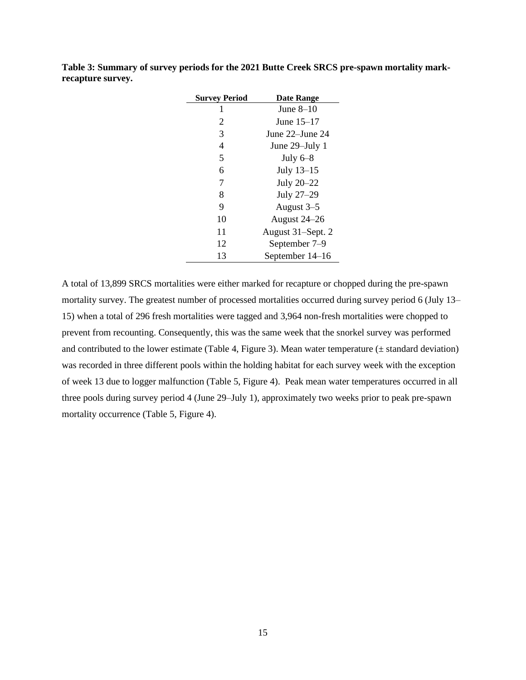| <b>Survey Period</b> | <b>Date Range</b> |
|----------------------|-------------------|
| 1                    | June $8-10$       |
| 2                    | June $15-17$      |
| 3                    | June 22–June 24   |
| 4                    | June 29–July 1    |
| 5                    | July $6-8$        |
| 6                    | July 13-15        |
| 7                    | July 20-22        |
| 8                    | July 27-29        |
| 9                    | August 3-5        |
| 10                   | August 24–26      |
| 11                   | August 31–Sept. 2 |
| 12                   | September 7–9     |
| 13                   | September 14–16   |

<span id="page-14-0"></span>**Table 3: Summary of survey periods for the 2021 Butte Creek SRCS pre-spawn mortality markrecapture survey.**

A total of 13,899 SRCS mortalities were either marked for recapture or chopped during the pre-spawn mortality survey. The greatest number of processed mortalities occurred during survey period 6 (July 13– 15) when a total of 296 fresh mortalities were tagged and 3,964 non-fresh mortalities were chopped to prevent from recounting. Consequently, this was the same week that the snorkel survey was performed and contributed to the lower estimate (Table 4, Figure 3). Mean water temperature  $(± standard deviation)$ was recorded in three different pools within the holding habitat for each survey week with the exception of week 13 due to logger malfunction (Table 5, Figure 4). Peak mean water temperatures occurred in all three pools during survey period 4 (June 29–July 1), approximately two weeks prior to peak pre-spawn mortality occurrence (Table 5, Figure 4).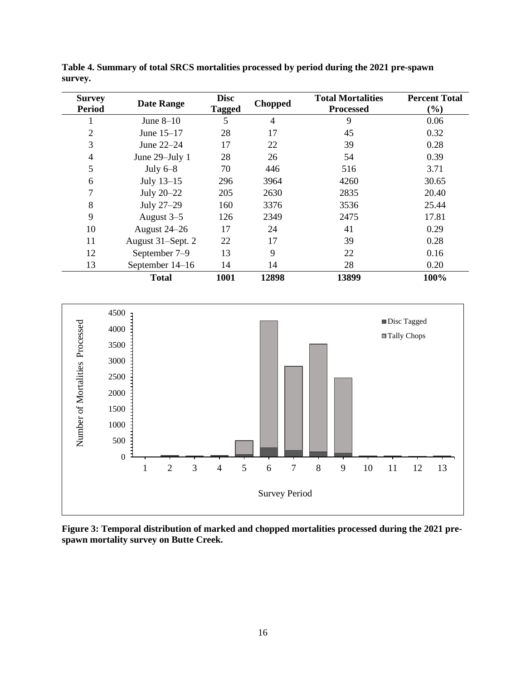| <b>Survey</b>  | <b>Date Range</b> | <b>Disc</b>   | <b>Chopped</b> | <b>Total Mortalities</b> | <b>Percent Total</b> |
|----------------|-------------------|---------------|----------------|--------------------------|----------------------|
| <b>Period</b>  |                   | <b>Tagged</b> |                | <b>Processed</b>         | $(\%)$               |
|                | June $8-10$       | 5             | 4              | 9                        | 0.06                 |
| $\overline{2}$ | June 15-17        | 28            | 17             | 45                       | 0.32                 |
| 3              | June 22–24        | 17            | 22             | 39                       | 0.28                 |
| 4              | June 29–July 1    | 28            | 26             | 54                       | 0.39                 |
| 5              | July $6-8$        | 70            | 446            | 516                      | 3.71                 |
| 6              | July 13-15        | 296           | 3964           | 4260                     | 30.65                |
|                | July 20–22        | 205           | 2630           | 2835                     | 20.40                |
| 8              | July 27-29        | 160           | 3376           | 3536                     | 25.44                |
| 9              | August 3–5        | 126           | 2349           | 2475                     | 17.81                |
| 10             | August 24-26      | 17            | 24             | 41                       | 0.29                 |
| 11             | August 31-Sept. 2 | 22            | 17             | 39                       | 0.28                 |
| 12             | September 7–9     | 13            | 9              | 22                       | 0.16                 |
| 13             | September 14–16   | 14            | 14             | 28                       | 0.20                 |
|                | <b>Total</b>      | 1001          | 12898          | 13899                    | 100%                 |

<span id="page-15-1"></span>**Table 4. Summary of total SRCS mortalities processed by period during the 2021 pre-spawn survey.**



<span id="page-15-0"></span>**Figure 3: Temporal distribution of marked and chopped mortalities processed during the 2021 prespawn mortality survey on Butte Creek.**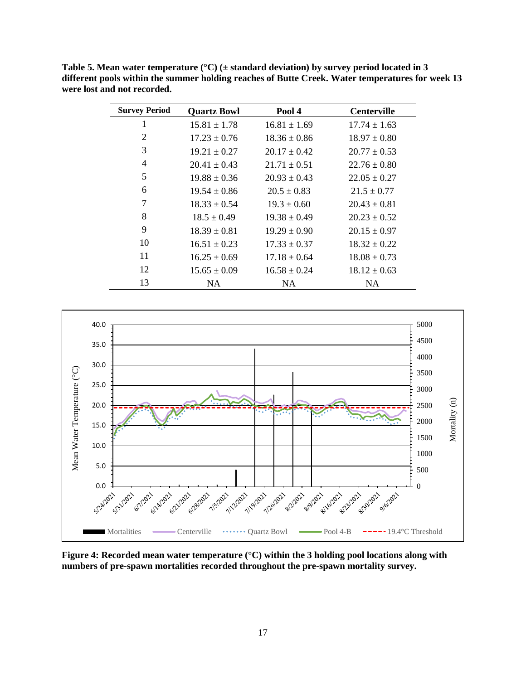| <b>Survey Period</b> | <b>Quartz Bowl</b> | Pool 4           | <b>Centerville</b> |
|----------------------|--------------------|------------------|--------------------|
| 1                    | $15.81 \pm 1.78$   | $16.81 \pm 1.69$ | $17.74 \pm 1.63$   |
| $\overline{2}$       | $17.23 \pm 0.76$   | $18.36 \pm 0.86$ | $18.97 \pm 0.80$   |
| 3                    | $19.21 \pm 0.27$   | $20.17 \pm 0.42$ | $20.77 \pm 0.53$   |
| $\overline{4}$       | $20.41 \pm 0.43$   | $21.71 \pm 0.51$ | $22.76 \pm 0.80$   |
| 5                    | $19.88 \pm 0.36$   | $20.93 \pm 0.43$ | $22.05 \pm 0.27$   |
| 6                    | $19.54 \pm 0.86$   | $20.5 \pm 0.83$  | $21.5 \pm 0.77$    |
| 7                    | $18.33 \pm 0.54$   | $19.3 \pm 0.60$  | $20.43 \pm 0.81$   |
| 8                    | $18.5 \pm 0.49$    | $19.38 \pm 0.49$ | $20.23 \pm 0.52$   |
| 9                    | $18.39 \pm 0.81$   | $19.29 \pm 0.90$ | $20.15 \pm 0.97$   |
| 10                   | $16.51 \pm 0.23$   | $17.33 \pm 0.37$ | $18.32 \pm 0.22$   |
| 11                   | $16.25 \pm 0.69$   | $17.18 \pm 0.64$ | $18.08 \pm 0.73$   |
| 12                   | $15.65 \pm 0.09$   | $16.58 \pm 0.24$ | $18.12 \pm 0.63$   |
| 13                   | NA.                | <b>NA</b>        | NA.                |

<span id="page-16-1"></span>**Table 5. Mean water temperature (°C) (± standard deviation) by survey period located in 3 different pools within the summer holding reaches of Butte Creek. Water temperatures for week 13 were lost and not recorded.**



<span id="page-16-0"></span>**Figure 4: Recorded mean water temperature (°C) within the 3 holding pool locations along with numbers of pre-spawn mortalities recorded throughout the pre-spawn mortality survey.**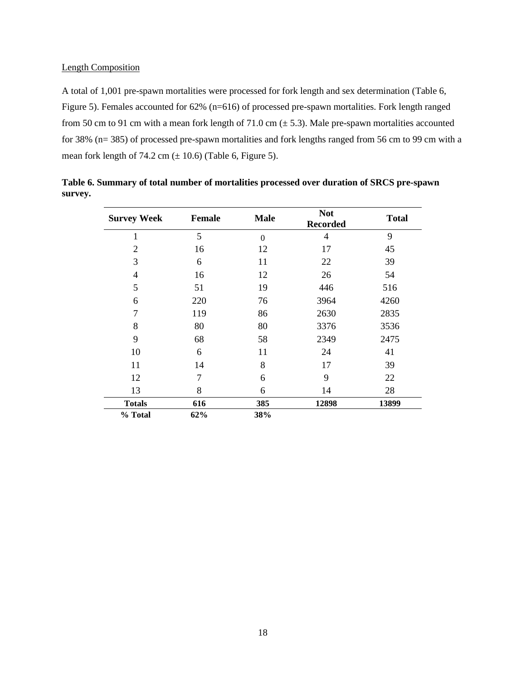#### Length Composition

A total of 1,001 pre-spawn mortalities were processed for fork length and sex determination (Table 6, Figure 5). Females accounted for 62% (n=616) of processed pre-spawn mortalities. Fork length ranged from 50 cm to 91 cm with a mean fork length of 71.0 cm  $(\pm 5.3)$ . Male pre-spawn mortalities accounted for 38% (n= 385) of processed pre-spawn mortalities and fork lengths ranged from 56 cm to 99 cm with a mean fork length of 74.2 cm  $(\pm 10.6)$  (Table 6, Figure 5).

| <b>Survey Week</b> | <b>Female</b> | <b>Not</b><br><b>Male</b><br><b>Recorded</b> |       | <b>Total</b> |
|--------------------|---------------|----------------------------------------------|-------|--------------|
| 1                  | 5             | $\theta$                                     | 4     | 9            |
| $\overline{2}$     | 16            | 12                                           | 17    | 45           |
| 3                  | 6             | 11                                           | 22    | 39           |
| $\overline{4}$     | 16            | 12                                           | 26    | 54           |
| 5                  | 51            | 19                                           | 446   | 516          |
| 6                  | 220           | 76                                           | 3964  | 4260         |
| 7                  | 119           | 86                                           | 2630  | 2835         |
| 8                  | 80            | 80                                           | 3376  | 3536         |
| 9                  | 68            | 58                                           | 2349  | 2475         |
| 10                 | 6             | 11                                           | 24    | 41           |
| 11                 | 14            | 8                                            | 17    | 39           |
| 12                 | 7             | 6                                            | 9     | 22           |
| 13                 | 8             | 6                                            | 14    | 28           |
| <b>Totals</b>      | 616           | 385                                          | 12898 | 13899        |
| % Total            | 62%           | 38%                                          |       |              |

<span id="page-17-0"></span>**Table 6. Summary of total number of mortalities processed over duration of SRCS pre-spawn survey.**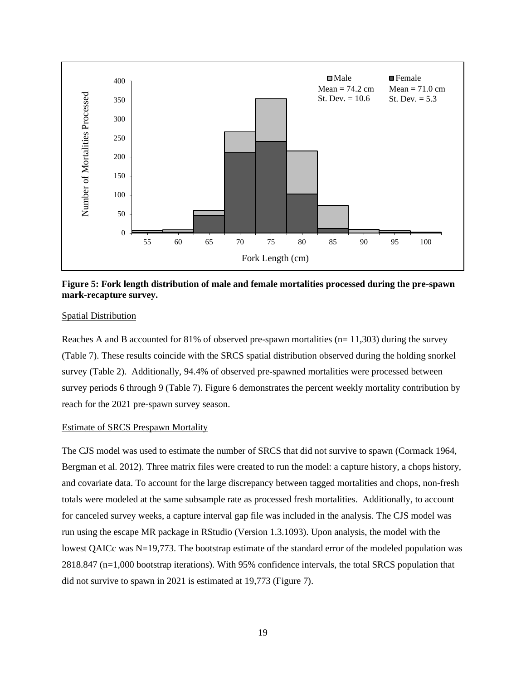

<span id="page-18-0"></span>**Figure 5: Fork length distribution of male and female mortalities processed during the pre-spawn mark-recapture survey.**

#### Spatial Distribution

Reaches A and B accounted for 81% of observed pre-spawn mortalities  $(n= 11,303)$  during the survey (Table 7). These results coincide with the SRCS spatial distribution observed during the holding snorkel survey (Table 2). Additionally, 94.4% of observed pre-spawned mortalities were processed between survey periods 6 through 9 (Table 7). Figure 6 demonstrates the percent weekly mortality contribution by reach for the 2021 pre-spawn survey season.

#### Estimate of SRCS Prespawn Mortality

The CJS model was used to estimate the number of SRCS that did not survive to spawn (Cormack 1964, Bergman et al. 2012). Three matrix files were created to run the model: a capture history, a chops history, and covariate data. To account for the large discrepancy between tagged mortalities and chops, non-fresh totals were modeled at the same subsample rate as processed fresh mortalities. Additionally, to account for canceled survey weeks, a capture interval gap file was included in the analysis. The CJS model was run using the escape MR package in RStudio (Version 1.3.1093). Upon analysis, the model with the lowest QAICc was N=19,773. The bootstrap estimate of the standard error of the modeled population was 2818.847 (n=1,000 bootstrap iterations). With 95% confidence intervals, the total SRCS population that did not survive to spawn in 2021 is estimated at 19,773 (Figure 7).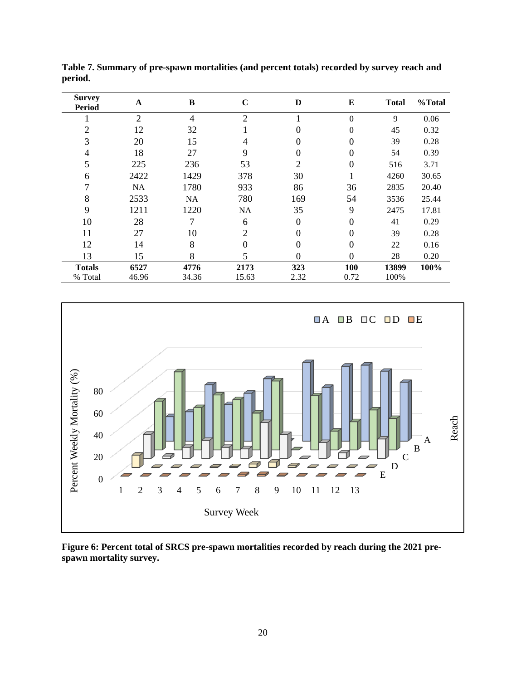| <b>Survey</b><br><b>Period</b> | A              | B     | $\mathbf C$    | D        | E                | <b>Total</b> | %Total |
|--------------------------------|----------------|-------|----------------|----------|------------------|--------------|--------|
|                                | $\overline{2}$ | 4     | $\overline{2}$ |          | $\boldsymbol{0}$ | 9            | 0.06   |
| $\overline{2}$                 | 12             | 32    |                | 0        | $\theta$         | 45           | 0.32   |
| 3                              | 20             | 15    | 4              | 0        | $\theta$         | 39           | 0.28   |
| 4                              | 18             | 27    | 9              | 0        | $\overline{0}$   | 54           | 0.39   |
| 5                              | 225            | 236   | 53             | 2        | $\overline{0}$   | 516          | 3.71   |
| 6                              | 2422           | 1429  | 378            | 30       |                  | 4260         | 30.65  |
| 7                              | <b>NA</b>      | 1780  | 933            | 86       | 36               | 2835         | 20.40  |
| 8                              | 2533           | NA    | 780            | 169      | 54               | 3536         | 25.44  |
| 9                              | 1211           | 1220  | NA             | 35       | 9                | 2475         | 17.81  |
| 10                             | 28             | 7     | 6              | $\Omega$ | $\overline{0}$   | 41           | 0.29   |
| 11                             | 27             | 10    | $\overline{2}$ | 0        | $\overline{0}$   | 39           | 0.28   |
| 12                             | 14             | 8     | 0              | 0        | $\overline{0}$   | 22           | 0.16   |
| 13                             | 15             | 8     | 5              | $\theta$ | $\overline{0}$   | 28           | 0.20   |
| <b>Totals</b>                  | 6527           | 4776  | 2173           | 323      | 100              | 13899        | 100%   |
| % Total                        | 46.96          | 34.36 | 15.63          | 2.32     | 0.72             | 100%         |        |

<span id="page-19-1"></span>**Table 7. Summary of pre-spawn mortalities (and percent totals) recorded by survey reach and period.**



<span id="page-19-0"></span>**Figure 6: Percent total of SRCS pre-spawn mortalities recorded by reach during the 2021 prespawn mortality survey.**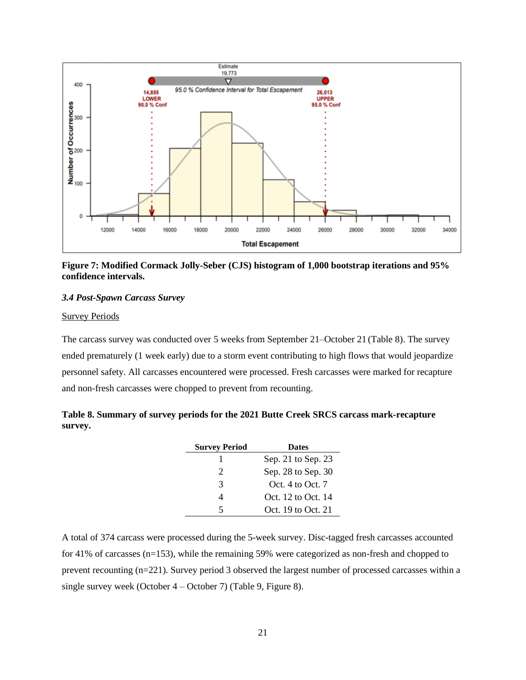

<span id="page-20-0"></span>**Figure 7: Modified Cormack Jolly-Seber (CJS) histogram of 1,000 bootstrap iterations and 95% confidence intervals.**

#### *3.4 Post-Spawn Carcass Survey*

#### Survey Periods

The carcass survey was conducted over 5 weeks from September 21–October 21 (Table 8). The survey ended prematurely (1 week early) due to a storm event contributing to high flows that would jeopardize personnel safety. All carcasses encountered were processed. Fresh carcasses were marked for recapture and non-fresh carcasses were chopped to prevent from recounting.

<span id="page-20-1"></span>

|         | Table 8. Summary of survey periods for the 2021 Butte Creek SRCS carcass mark-recapture |  |  |
|---------|-----------------------------------------------------------------------------------------|--|--|
| survey. |                                                                                         |  |  |

| <b>Survey Period</b>  | <b>Dates</b>       |  |  |
|-----------------------|--------------------|--|--|
|                       | Sep. 21 to Sep. 23 |  |  |
| $\mathcal{D}_{\cdot}$ | Sep. 28 to Sep. 30 |  |  |
| 3                     | Oct. 4 to Oct. $7$ |  |  |
|                       | Oct. 12 to Oct. 14 |  |  |
| 5                     | Oct. 19 to Oct. 21 |  |  |

A total of 374 carcass were processed during the 5-week survey. Disc-tagged fresh carcasses accounted for 41% of carcasses (n=153), while the remaining 59% were categorized as non-fresh and chopped to prevent recounting (n=221). Survey period 3 observed the largest number of processed carcasses within a single survey week (October 4 – October 7) (Table 9, Figure 8).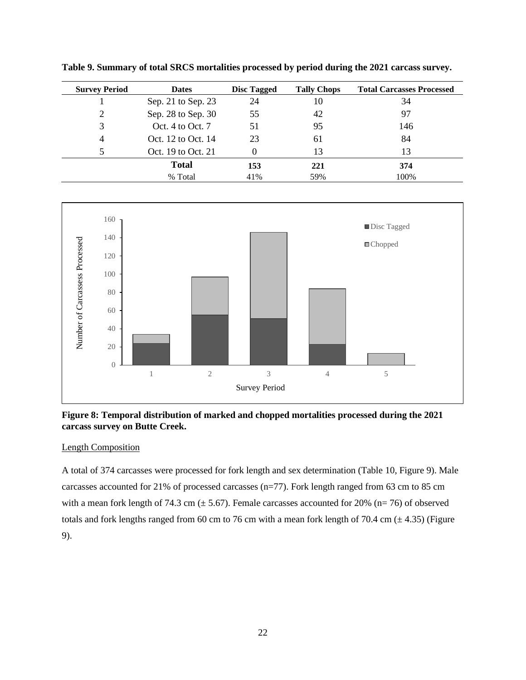| <b>Survey Period</b> | <b>Dates</b>       | <b>Disc Tagged</b> | <b>Tally Chops</b> | <b>Total Carcasses Processed</b> |
|----------------------|--------------------|--------------------|--------------------|----------------------------------|
|                      | Sep. 21 to Sep. 23 | 24                 | 10                 | 34                               |
| 2                    | Sep. 28 to Sep. 30 | 55                 | 42                 | 97                               |
| 3                    | Oct. 4 to Oct. 7   | 51                 | 95                 | 146                              |
| 4                    | Oct. 12 to Oct. 14 | 23                 | 61                 | 84                               |
|                      | Oct. 19 to Oct. 21 |                    | 13                 | 13                               |
|                      | <b>Total</b>       | 153                | 221                | 374                              |
|                      | % Total            | 41%                | 59%                | 100%                             |

<span id="page-21-1"></span>**Table 9. Summary of total SRCS mortalities processed by period during the 2021 carcass survey.**



#### <span id="page-21-0"></span>**Figure 8: Temporal distribution of marked and chopped mortalities processed during the 2021 carcass survey on Butte Creek.**

#### Length Composition

A total of 374 carcasses were processed for fork length and sex determination (Table 10, Figure 9). Male carcasses accounted for 21% of processed carcasses (n=77). Fork length ranged from 63 cm to 85 cm with a mean fork length of 74.3 cm  $(\pm 5.67)$ . Female carcasses accounted for 20% (n= 76) of observed totals and fork lengths ranged from 60 cm to 76 cm with a mean fork length of 70.4 cm  $(\pm 4.35)$  (Figure 9).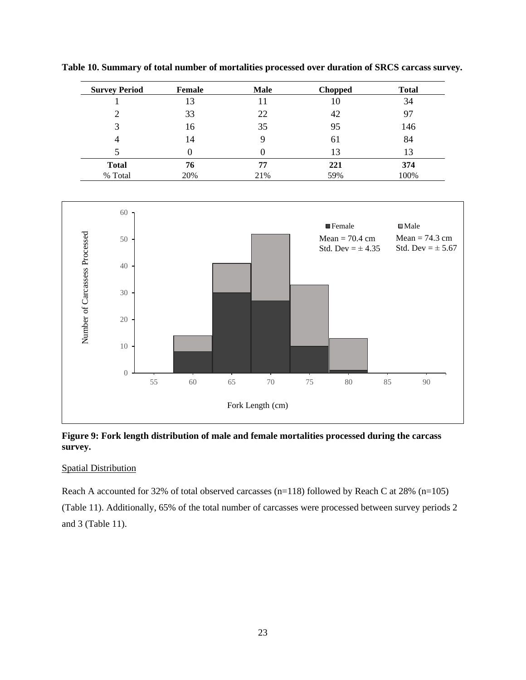| <b>Survey Period</b> | Female | <b>Male</b> | <b>Chopped</b> | <b>Total</b> |
|----------------------|--------|-------------|----------------|--------------|
|                      | 13     | 11          | 10             | 34           |
| 2                    | 33     | 22          | 42             | 97           |
| 3                    | 16     | 35          | 95             | 146          |
| 4                    | 14     |             | 61             | 84           |
|                      |        |             | 13             | 13           |
| <b>Total</b>         | 76     | 77          | 221            | 374          |
| % Total              | 20%    | 21%         | 59%            | 100%         |

<span id="page-22-1"></span>**Table 10. Summary of total number of mortalities processed over duration of SRCS carcass survey.**



<span id="page-22-0"></span>**Figure 9: Fork length distribution of male and female mortalities processed during the carcass survey.**

#### Spatial Distribution

Reach A accounted for 32% of total observed carcasses (n=118) followed by Reach C at 28% (n=105) (Table 11). Additionally, 65% of the total number of carcasses were processed between survey periods 2 and 3 (Table 11).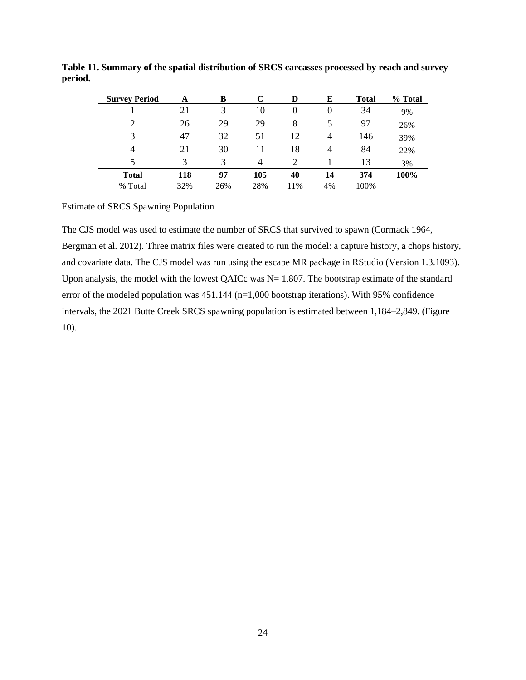| <b>Survey Period</b> | A   | B   | C   | D   | Е              | <b>Total</b> | % Total |
|----------------------|-----|-----|-----|-----|----------------|--------------|---------|
|                      | 21  | 3   | 10  | 0   | $\overline{0}$ | 34           | 9%      |
| 2                    | 26  | 29  | 29  | 8   | 5              | 97           | 26%     |
| 3                    | 47  | 32  | 51  | 12  | 4              | 146          | 39%     |
| 4                    | 21  | 30  | 11  | 18  | 4              | 84           | 22%     |
| 5                    | 3   | 3   | 4   |     |                | 13           | 3%      |
| <b>Total</b>         | 118 | 97  | 105 | 40  | 14             | 374          | 100%    |
| % Total              | 32% | 26% | 28% | 11% | 4%             | 100%         |         |

<span id="page-23-0"></span>**Table 11. Summary of the spatial distribution of SRCS carcasses processed by reach and survey period.**

#### Estimate of SRCS Spawning Population

The CJS model was used to estimate the number of SRCS that survived to spawn (Cormack 1964, Bergman et al. 2012). Three matrix files were created to run the model: a capture history, a chops history, and covariate data. The CJS model was run using the escape MR package in RStudio (Version 1.3.1093). Upon analysis, the model with the lowest QAICc was  $N = 1,807$ . The bootstrap estimate of the standard error of the modeled population was 451.144 (n=1,000 bootstrap iterations). With 95% confidence intervals, the 2021 Butte Creek SRCS spawning population is estimated between 1,184–2,849. (Figure 10).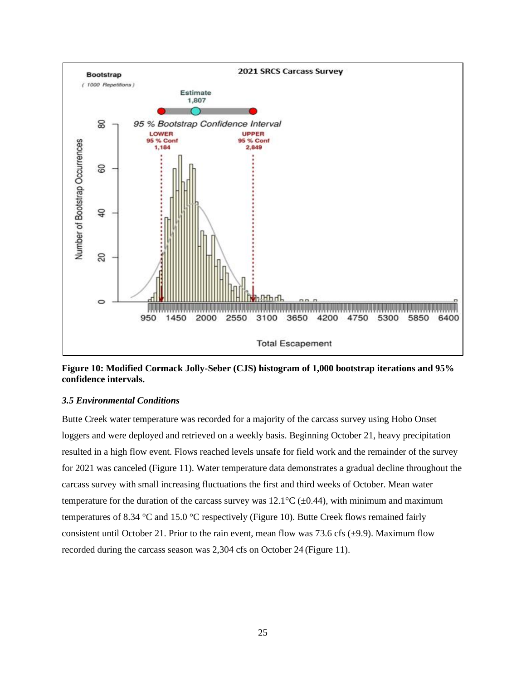

<span id="page-24-0"></span>**Figure 10: Modified Cormack Jolly-Seber (CJS) histogram of 1,000 bootstrap iterations and 95% confidence intervals.**

#### *3.5 Environmental Conditions*

Butte Creek water temperature was recorded for a majority of the carcass survey using Hobo Onset loggers and were deployed and retrieved on a weekly basis. Beginning October 21, heavy precipitation resulted in a high flow event. Flows reached levels unsafe for field work and the remainder of the survey for 2021 was canceled (Figure 11). Water temperature data demonstrates a gradual decline throughout the carcass survey with small increasing fluctuations the first and third weeks of October. Mean water temperature for the duration of the carcass survey was  $12.1^{\circ}C$  ( $\pm$ 0.44), with minimum and maximum temperatures of 8.34 °C and 15.0 °C respectively (Figure 10). Butte Creek flows remained fairly consistent until October 21. Prior to the rain event, mean flow was 73.6 cfs  $(\pm 9.9)$ . Maximum flow recorded during the carcass season was 2,304 cfs on October 24 (Figure 11).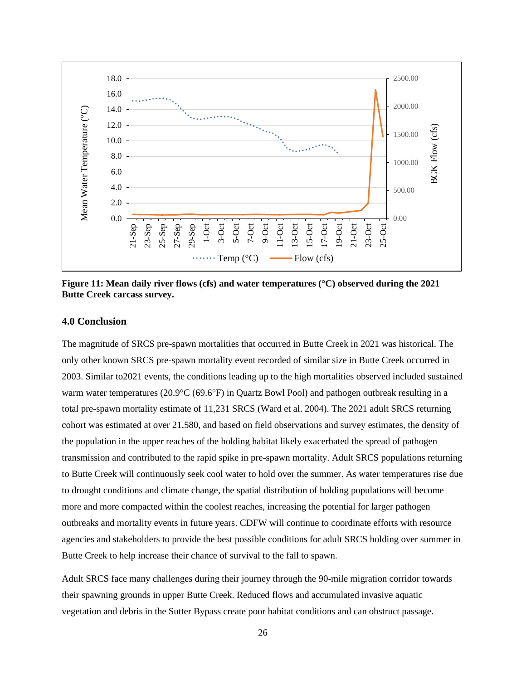

<span id="page-25-0"></span>**Figure 11: Mean daily river flows (cfs) and water temperatures (°C) observed during the 2021 Butte Creek carcass survey.**

#### **4.0 Conclusion**

The magnitude of SRCS pre-spawn mortalities that occurred in Butte Creek in 2021 was historical. The only other known SRCS pre-spawn mortality event recorded of similar size in Butte Creek occurred in 2003. Similar to2021 events, the conditions leading up to the high mortalities observed included sustained warm water temperatures (20.9°C (69.6°F) in Quartz Bowl Pool) and pathogen outbreak resulting in a total pre-spawn mortality estimate of 11,231 SRCS (Ward et al. 2004). The 2021 adult SRCS returning cohort was estimated at over 21,580, and based on field observations and survey estimates, the density of the population in the upper reaches of the holding habitat likely exacerbated the spread of pathogen transmission and contributed to the rapid spike in pre-spawn mortality. Adult SRCS populations returning to Butte Creek will continuously seek cool water to hold over the summer. As water temperatures rise due to drought conditions and climate change, the spatial distribution of holding populations will become more and more compacted within the coolest reaches, increasing the potential for larger pathogen outbreaks and mortality events in future years. CDFW will continue to coordinate efforts with resource agencies and stakeholders to provide the best possible conditions for adult SRCS holding over summer in Butte Creek to help increase their chance of survival to the fall to spawn.

Adult SRCS face many challenges during their journey through the 90-mile migration corridor towards their spawning grounds in upper Butte Creek. Reduced flows and accumulated invasive aquatic vegetation and debris in the Sutter Bypass create poor habitat conditions and can obstruct passage.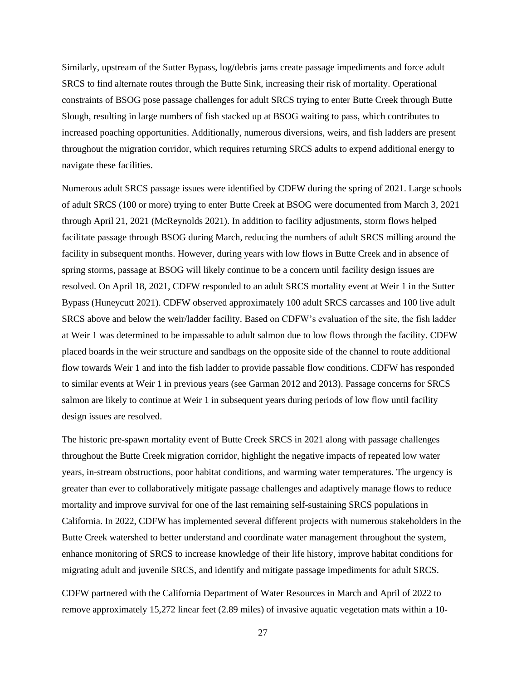Similarly, upstream of the Sutter Bypass, log/debris jams create passage impediments and force adult SRCS to find alternate routes through the Butte Sink, increasing their risk of mortality. Operational constraints of BSOG pose passage challenges for adult SRCS trying to enter Butte Creek through Butte Slough, resulting in large numbers of fish stacked up at BSOG waiting to pass, which contributes to increased poaching opportunities. Additionally, numerous diversions, weirs, and fish ladders are present throughout the migration corridor, which requires returning SRCS adults to expend additional energy to navigate these facilities.

Numerous adult SRCS passage issues were identified by CDFW during the spring of 2021. Large schools of adult SRCS (100 or more) trying to enter Butte Creek at BSOG were documented from March 3, 2021 through April 21, 2021 (McReynolds 2021). In addition to facility adjustments, storm flows helped facilitate passage through BSOG during March, reducing the numbers of adult SRCS milling around the facility in subsequent months. However, during years with low flows in Butte Creek and in absence of spring storms, passage at BSOG will likely continue to be a concern until facility design issues are resolved. On April 18, 2021, CDFW responded to an adult SRCS mortality event at Weir 1 in the Sutter Bypass (Huneycutt 2021). CDFW observed approximately 100 adult SRCS carcasses and 100 live adult SRCS above and below the weir/ladder facility. Based on CDFW's evaluation of the site, the fish ladder at Weir 1 was determined to be impassable to adult salmon due to low flows through the facility. CDFW placed boards in the weir structure and sandbags on the opposite side of the channel to route additional flow towards Weir 1 and into the fish ladder to provide passable flow conditions. CDFW has responded to similar events at Weir 1 in previous years (see Garman 2012 and 2013). Passage concerns for SRCS salmon are likely to continue at Weir 1 in subsequent years during periods of low flow until facility design issues are resolved.

The historic pre-spawn mortality event of Butte Creek SRCS in 2021 along with passage challenges throughout the Butte Creek migration corridor, highlight the negative impacts of repeated low water years, in-stream obstructions, poor habitat conditions, and warming water temperatures. The urgency is greater than ever to collaboratively mitigate passage challenges and adaptively manage flows to reduce mortality and improve survival for one of the last remaining self-sustaining SRCS populations in California. In 2022, CDFW has implemented several different projects with numerous stakeholders in the Butte Creek watershed to better understand and coordinate water management throughout the system, enhance monitoring of SRCS to increase knowledge of their life history, improve habitat conditions for migrating adult and juvenile SRCS, and identify and mitigate passage impediments for adult SRCS.

CDFW partnered with the California Department of Water Resources in March and April of 2022 to remove approximately 15,272 linear feet (2.89 miles) of invasive aquatic vegetation mats within a 10-

27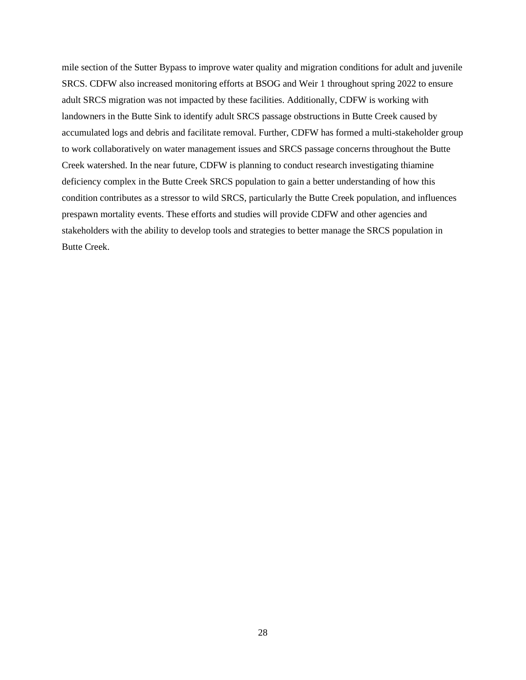mile section of the Sutter Bypass to improve water quality and migration conditions for adult and juvenile SRCS. CDFW also increased monitoring efforts at BSOG and Weir 1 throughout spring 2022 to ensure adult SRCS migration was not impacted by these facilities. Additionally, CDFW is working with landowners in the Butte Sink to identify adult SRCS passage obstructions in Butte Creek caused by accumulated logs and debris and facilitate removal. Further, CDFW has formed a multi-stakeholder group to work collaboratively on water management issues and SRCS passage concerns throughout the Butte Creek watershed. In the near future, CDFW is planning to conduct research investigating thiamine deficiency complex in the Butte Creek SRCS population to gain a better understanding of how this condition contributes as a stressor to wild SRCS, particularly the Butte Creek population, and influences prespawn mortality events. These efforts and studies will provide CDFW and other agencies and stakeholders with the ability to develop tools and strategies to better manage the SRCS population in Butte Creek.